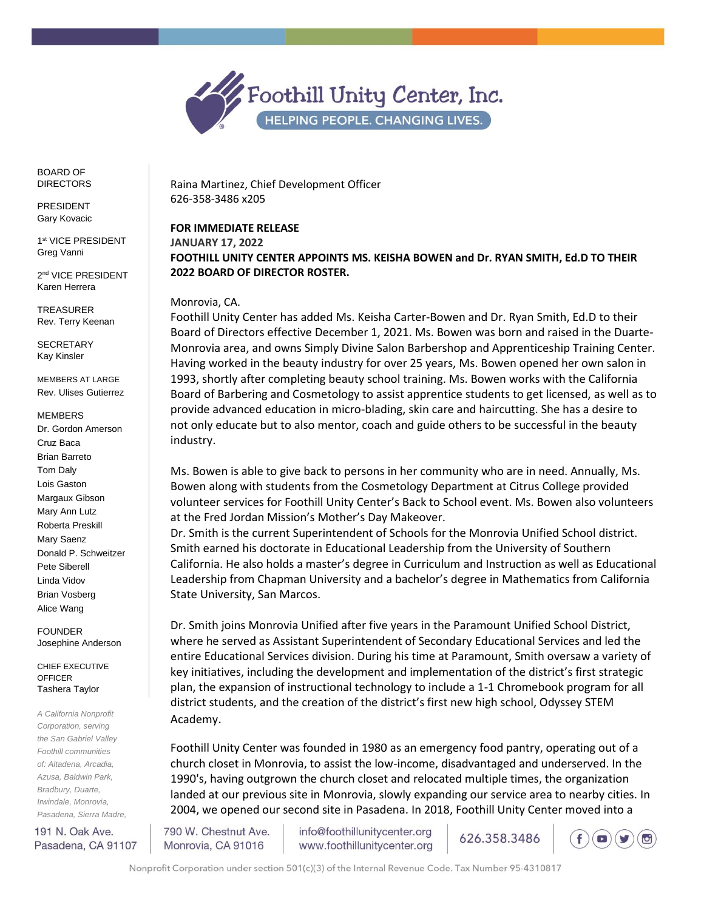

BOARD OF DIRECTORS

PRESIDENT Gary Kovacic

1 st VICE PRESIDENT Greg Vanni

2 nd VICE PRESIDENT Karen Herrera

TREASURER Rev. Terry Keenan

SECRETARY Kay Kinsler

MEMBERS AT LARGE Rev. Ulises Gutierrez

MEMBERS

Dr. Gordon Amerson Cruz Baca Brian Barreto Tom Daly Lois Gaston Margaux Gibson Mary Ann Lutz Roberta Preskill Mary Saenz Donald P. Schweitzer Pete Siberell Linda Vidov Brian Vosberg Alice Wang

FOUNDER Josephine Anderson

CHIEF EXECUTIVE **OFFICER** Tashera Taylor

*A California Nonprofit Corporation, serving the San Gabriel Valley Foothill communities of: Altadena, Arcadia, Azusa, Baldwin Park, Bradbury, Duarte, Irwindale, Monrovia, Pasadena, Sierra Madre,* 

191 N. Oak Ave. Pasadena, CA 91107

Raina Martinez, Chief Development Officer 626-358-3486 x205

**FOR IMMEDIATE RELEASE JANUARY 17, 2022 FOOTHILL UNITY CENTER APPOINTS MS. KEISHA BOWEN and Dr. RYAN SMITH, Ed.D TO THEIR 2022 BOARD OF DIRECTOR ROSTER.** 

## Monrovia, CA.

Foothill Unity Center has added Ms. Keisha Carter-Bowen and Dr. Ryan Smith, Ed.D to their Board of Directors effective December 1, 2021. Ms. Bowen was born and raised in the Duarte-Monrovia area, and owns Simply Divine Salon Barbershop and Apprenticeship Training Center. Having worked in the beauty industry for over 25 years, Ms. Bowen opened her own salon in 1993, shortly after completing beauty school training. Ms. Bowen works with the California Board of Barbering and Cosmetology to assist apprentice students to get licensed, as well as to provide advanced education in micro-blading, skin care and haircutting. She has a desire to not only educate but to also mentor, coach and guide others to be successful in the beauty industry.

Ms. Bowen is able to give back to persons in her community who are in need. Annually, Ms. Bowen along with students from the Cosmetology Department at Citrus College provided volunteer services for Foothill Unity Center's Back to School event. Ms. Bowen also volunteers at the Fred Jordan Mission's Mother's Day Makeover.

Dr. Smith is the current Superintendent of Schools for the Monrovia Unified School district. Smith earned his doctorate in Educational Leadership from the University of Southern California. He also holds a master's degree in Curriculum and Instruction as well as Educational Leadership from Chapman University and a bachelor's degree in Mathematics from California State University, San Marcos.

Dr. Smith joins Monrovia Unified after five years in the Paramount Unified School District, where he served as Assistant Superintendent of Secondary Educational Services and led the entire Educational Services division. During his time at Paramount, Smith oversaw a variety of key initiatives, including the development and implementation of the district's first strategic plan, the expansion of instructional technology to include a 1-1 Chromebook program for all district students, and the creation of the district's first new high school, Odyssey STEM Academy.

Foothill Unity Center was founded in 1980 as an emergency food pantry, operating out of a church closet in Monrovia, to assist the low-income, disadvantaged and underserved. In the 1990's, having outgrown the church closet and relocated multiple times, the organization landed at our previous site in Monrovia, slowly expanding our service area to nearby cities. In 2004, we opened our second site in Pasadena. In 2018, Foothill Unity Center moved into a

790 W. Chestnut Ave. Monrovia, CA 91016

info@foothillunitycenter.org www.foothillunitycenter.org 626.358.3486



Nonprofit Corporation under section 501(c)(3) of the Internal Revenue Code. Tax Number 95-4310817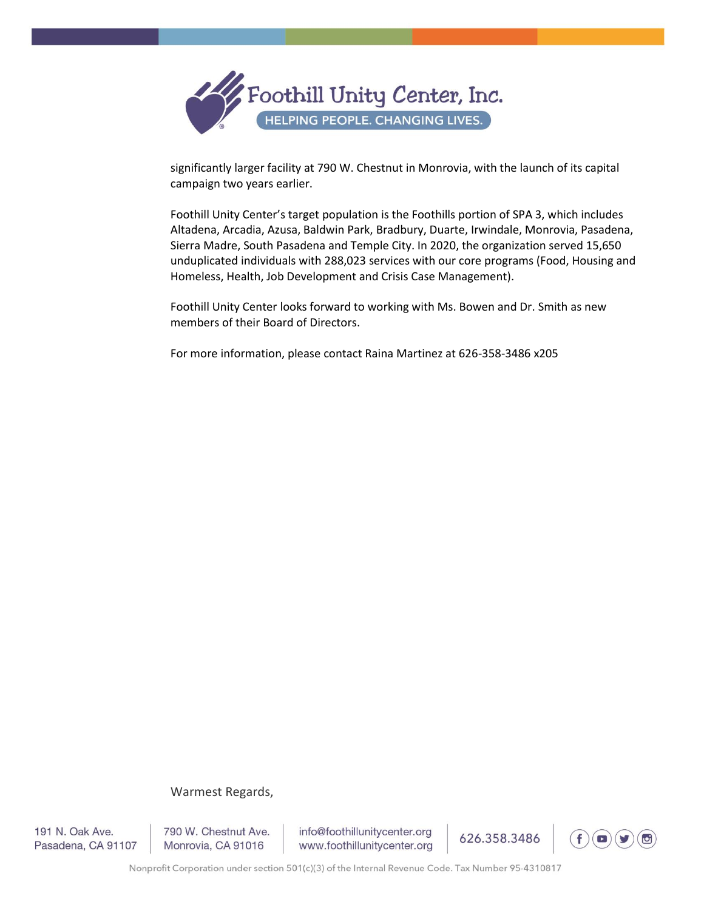

significantly larger facility at 790 W. Chestnut in Monrovia, with the launch of its capital campaign two years earlier.

Foothill Unity Center's target population is the Foothills portion of SPA 3, which includes Altadena, Arcadia, Azusa, Baldwin Park, Bradbury, Duarte, Irwindale, Monrovia, Pasadena, Sierra Madre, South Pasadena and Temple City. In 2020, the organization served 15,650 unduplicated individuals with 288,023 services with our core programs (Food, Housing and Homeless, Health, Job Development and Crisis Case Management).

Foothill Unity Center looks forward to working with Ms. Bowen and Dr. Smith as new members of their Board of Directors.

For more information, please contact Raina Martinez at 626-358-3486 x205

## Warmest Regards,

191 N. Oak Ave. Pasadena, CA 91107 790 W. Chestnut Ave. Monrovia, CA 91016

info@foothillunitycenter.org www.foothillunitycenter.org



626.358.3486

Nonprofit Corporation under section 501(c)(3) of the Internal Revenue Code. Tax Number 95-4310817